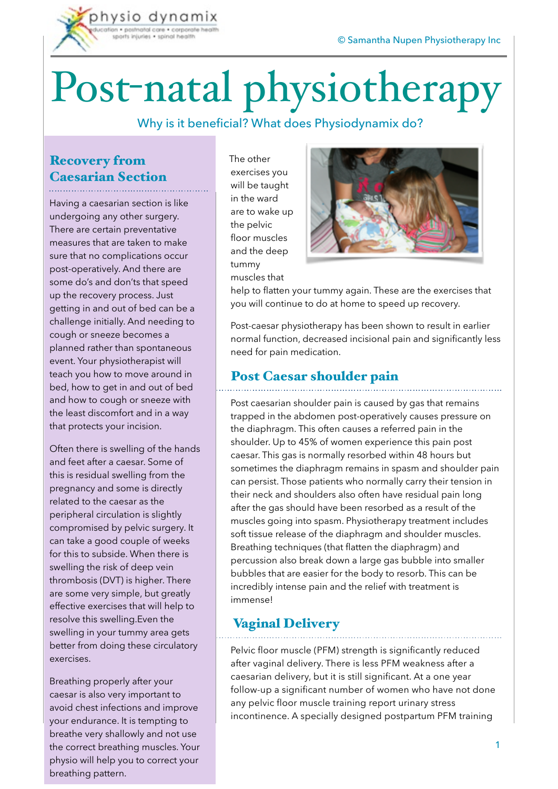

# Post-natal physiotherapy

#### Why is it beneficial? What does Physiodynamix do?

## Recovery from Caesarian Section

Having a caesarian section is like undergoing any other surgery. There are certain preventative measures that are taken to make sure that no complications occur post-operatively. And there are some do's and don'ts that speed up the recovery process. Just getting in and out of bed can be a challenge initially. And needing to cough or sneeze becomes a planned rather than spontaneous event. Your physiotherapist will teach you how to move around in bed, how to get in and out of bed and how to cough or sneeze with the least discomfort and in a way that protects your incision.

Often there is swelling of the hands and feet after a caesar. Some of this is residual swelling from the pregnancy and some is directly related to the caesar as the peripheral circulation is slightly compromised by pelvic surgery. It can take a good couple of weeks for this to subside. When there is swelling the risk of deep vein thrombosis (DVT) is higher. There are some very simple, but greatly effective exercises that will help to resolve this swelling.Even the swelling in your tummy area gets better from doing these circulatory exercises.

Breathing properly after your caesar is also very important to avoid chest infections and improve your endurance. It is tempting to breathe very shallowly and not use the correct breathing muscles. Your physio will help you to correct your breathing pattern.

The other exercises you will be taught in the ward are to wake up the pelvic floor muscles and the deep tummy muscles that



help to flatten your tummy again. These are the exercises that you will continue to do at home to speed up recovery.

Post-caesar physiotherapy has been shown to result in earlier normal function, decreased incisional pain and significantly less need for pain medication.

#### Post Caesar shoulder pain

Post caesarian shoulder pain is caused by gas that remains trapped in the abdomen post-operatively causes pressure on the diaphragm. This often causes a referred pain in the shoulder. Up to 45% of women experience this pain post caesar. This gas is normally resorbed within 48 hours but sometimes the diaphragm remains in spasm and shoulder pain can persist. Those patients who normally carry their tension in their neck and shoulders also often have residual pain long after the gas should have been resorbed as a result of the muscles going into spasm. Physiotherapy treatment includes soft tissue release of the diaphragm and shoulder muscles. Breathing techniques (that flatten the diaphragm) and percussion also break down a large gas bubble into smaller bubbles that are easier for the body to resorb. This can be incredibly intense pain and the relief with treatment is immense!

### Vaginal Delivery

Pelvic floor muscle (PFM) strength is significantly reduced after vaginal delivery. There is less PFM weakness after a caesarian delivery, but it is still significant. At a one year follow-up a significant number of women who have not done any pelvic floor muscle training report urinary stress incontinence. A specially designed postpartum PFM training